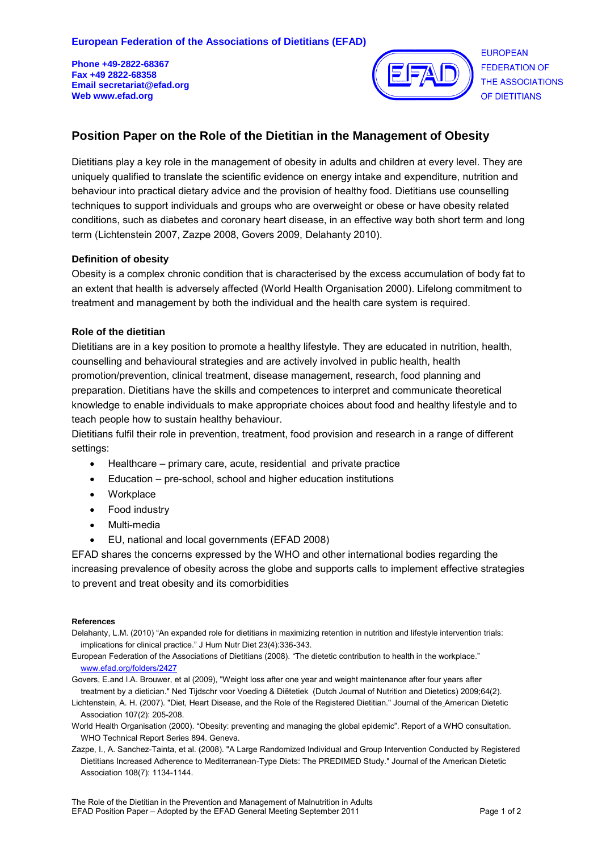**Phone +49-2822-68367 Fax +49 2822-68358 Email secretariat@efad.org Web www.efad.org** 



**FUROPEAN FEDERATION OF** THE ASSOCIATIONS OF DIETITIANS

# **Position Paper on the Role of the Dietitian in the Management of Obesity**

Dietitians play a key role in the management of obesity in adults and children at every level. They are uniquely qualified to translate the scientific evidence on energy intake and expenditure, nutrition and behaviour into practical dietary advice and the provision of healthy food. Dietitians use counselling techniques to support individuals and groups who are overweight or obese or have obesity related conditions, such as diabetes and coronary heart disease, in an effective way both short term and long term (Lichtenstein 2007, Zazpe 2008, Govers 2009, Delahanty 2010).

### **Definition of obesity**

Obesity is a complex chronic condition that is characterised by the excess accumulation of body fat to an extent that health is adversely affected (World Health Organisation 2000). Lifelong commitment to treatment and management by both the individual and the health care system is required.

## **Role of the dietitian**

Dietitians are in a key position to promote a healthy lifestyle. They are educated in nutrition, health, counselling and behavioural strategies and are actively involved in public health, health promotion/prevention, clinical treatment, disease management, research, food planning and preparation. Dietitians have the skills and competences to interpret and communicate theoretical knowledge to enable individuals to make appropriate choices about food and healthy lifestyle and to teach people how to sustain healthy behaviour.

Dietitians fulfil their role in prevention, treatment, food provision and research in a range of different settings:

- Healthcare primary care, acute, residential and private practice
- Education pre-school, school and higher education institutions
- Workplace
- Food industry
- Multi-media
- EU, national and local governments (EFAD 2008)

EFAD shares the concerns expressed by the WHO and other international bodies regarding the increasing prevalence of obesity across the globe and supports calls to implement effective strategies to prevent and treat obesity and its comorbidities

#### **References**

Delahanty, L.M. (2010) "An expanded role for dietitians in maximizing retention in nutrition and lifestyle intervention trials: implications for clinical practice." J Hum Nutr Diet 23(4):336-343.

European Federation of the Associations of Dietitians (2008). "The dietetic contribution to health in the workplace." [www.efad.org/folders/2427](http://www.efad.org/folders/2427) 

Govers, E.and I.A. Brouwer, et al (2009), "Weight loss after one year and weight maintenance after four years after treatment by a dietician." Ned Tijdschr voor Voeding & Diëtetiek (Dutch Journal of Nutrition and Dietetics) 2009;64(2).

Lichtenstein, A. H. (2007). "Diet, Heart Disease, and the Role of the Registered Dietitian." Journal of the American Dietetic Association 107(2): 205-208.

- World Health Organisation (2000). "Obesity: preventing and managing the global epidemic". Report of a WHO consultation. WHO Technical Report Series 894. Geneva.
- Zazpe, I., A. Sanchez-Tainta, et al. (2008). "A Large Randomized Individual and Group Intervention Conducted by Registered Dietitians Increased Adherence to Mediterranean-Type Diets: The PREDIMED Study." Journal of the American Dietetic Association 108(7): 1134-1144.